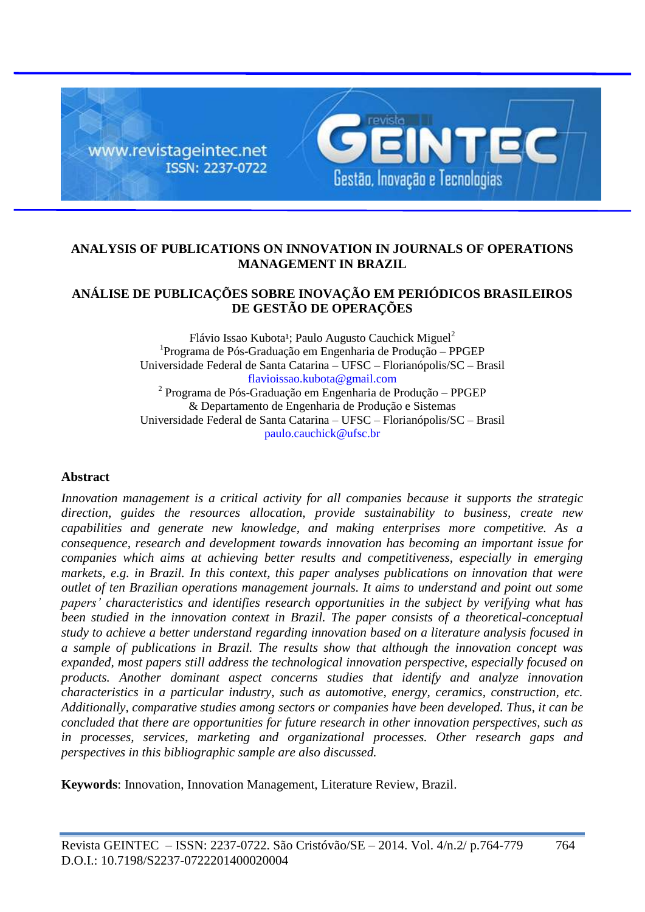

## **ANALYSIS OF PUBLICATIONS ON INNOVATION IN JOURNALS OF OPERATIONS MANAGEMENT IN BRAZIL**

# **ANÁLISE DE PUBLICAÇÕES SOBRE INOVAÇÃO EM PERIÓDICOS BRASILEIROS DE GESTÃO DE OPERAÇÕES**

Flávio Issao Kubota<sup>1</sup>; Paulo Augusto Cauchick Miguel<sup>2</sup> <sup>1</sup>Programa de Pós-Graduação em Engenharia de Produção - PPGEP Universidade Federal de Santa Catarina – UFSC – Florianópolis/SC – Brasil flavioissao.kubota@gmail.com <sup>2</sup> Programa de Pós-Graduação em Engenharia de Produção – PPGEP & Departamento de Engenharia de Produção e Sistemas Universidade Federal de Santa Catarina – UFSC – Florianópolis/SC – Brasil paulo.cauchick@ufsc.br

### **Abstract**

*Innovation management is a critical activity for all companies because it supports the strategic direction, guides the resources allocation, provide sustainability to business, create new capabilities and generate new knowledge, and making enterprises more competitive. As a consequence, research and development towards innovation has becoming an important issue for companies which aims at achieving better results and competitiveness, especially in emerging markets, e.g. in Brazil. In this context, this paper analyses publications on innovation that were outlet of ten Brazilian operations management journals. It aims to understand and point out some papers' characteristics and identifies research opportunities in the subject by verifying what has been studied in the innovation context in Brazil. The paper consists of a theoretical-conceptual study to achieve a better understand regarding innovation based on a literature analysis focused in a sample of publications in Brazil. The results show that although the innovation concept was expanded, most papers still address the technological innovation perspective, especially focused on products. Another dominant aspect concerns studies that identify and analyze innovation characteristics in a particular industry, such as automotive, energy, ceramics, construction, etc. Additionally, comparative studies among sectors or companies have been developed. Thus, it can be concluded that there are opportunities for future research in other innovation perspectives, such as in processes, services, marketing and organizational processes. Other research gaps and perspectives in this bibliographic sample are also discussed.*

**Keywords**: Innovation, Innovation Management, Literature Review, Brazil.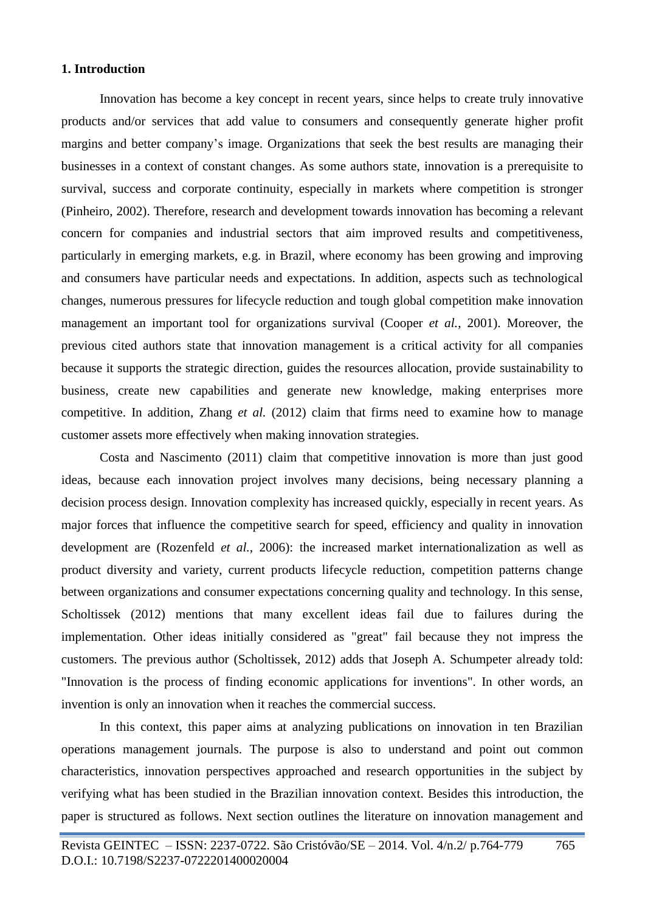### **1. Introduction**

Innovation has become a key concept in recent years, since helps to create truly innovative products and/or services that add value to consumers and consequently generate higher profit margins and better company's image. Organizations that seek the best results are managing their businesses in a context of constant changes. As some authors state, innovation is a prerequisite to survival, success and corporate continuity, especially in markets where competition is stronger (Pinheiro, 2002). Therefore, research and development towards innovation has becoming a relevant concern for companies and industrial sectors that aim improved results and competitiveness, particularly in emerging markets, e.g. in Brazil, where economy has been growing and improving and consumers have particular needs and expectations. In addition, aspects such as technological changes, numerous pressures for lifecycle reduction and tough global competition make innovation management an important tool for organizations survival (Cooper *et al.*, 2001). Moreover, the previous cited authors state that innovation management is a critical activity for all companies because it supports the strategic direction, guides the resources allocation, provide sustainability to business, create new capabilities and generate new knowledge, making enterprises more competitive. In addition, Zhang *et al.* (2012) claim that firms need to examine how to manage customer assets more effectively when making innovation strategies.

Costa and Nascimento (2011) claim that competitive innovation is more than just good ideas, because each innovation project involves many decisions, being necessary planning a decision process design. Innovation complexity has increased quickly, especially in recent years. As major forces that influence the competitive search for speed, efficiency and quality in innovation development are (Rozenfeld *et al.*, 2006): the increased market internationalization as well as product diversity and variety, current products lifecycle reduction, competition patterns change between organizations and consumer expectations concerning quality and technology. In this sense, Scholtissek (2012) mentions that many excellent ideas fail due to failures during the implementation. Other ideas initially considered as "great" fail because they not impress the customers. The previous author (Scholtissek, 2012) adds that Joseph A. Schumpeter already told: "Innovation is the process of finding economic applications for inventions". In other words, an invention is only an innovation when it reaches the commercial success.

In this context, this paper aims at analyzing publications on innovation in ten Brazilian operations management journals. The purpose is also to understand and point out common characteristics, innovation perspectives approached and research opportunities in the subject by verifying what has been studied in the Brazilian innovation context. Besides this introduction, the paper is structured as follows. Next section outlines the literature on innovation management and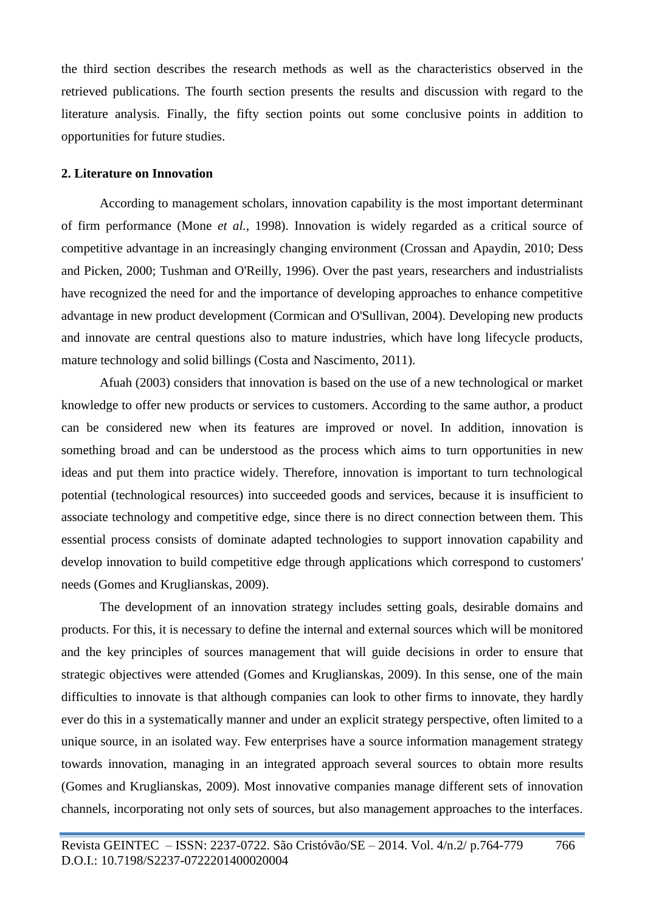the third section describes the research methods as well as the characteristics observed in the retrieved publications. The fourth section presents the results and discussion with regard to the literature analysis. Finally, the fifty section points out some conclusive points in addition to opportunities for future studies.

### **2. Literature on Innovation**

According to management scholars, innovation capability is the most important determinant of firm performance (Mone *et al.*, 1998). Innovation is widely regarded as a critical source of competitive advantage in an increasingly changing environment (Crossan and Apaydin, 2010; Dess and Picken, 2000; Tushman and O'Reilly, 1996). Over the past years, researchers and industrialists have recognized the need for and the importance of developing approaches to enhance competitive advantage in new product development (Cormican and O'Sullivan, 2004). Developing new products and innovate are central questions also to mature industries, which have long lifecycle products, mature technology and solid billings (Costa and Nascimento, 2011).

Afuah (2003) considers that innovation is based on the use of a new technological or market knowledge to offer new products or services to customers. According to the same author, a product can be considered new when its features are improved or novel. In addition, innovation is something broad and can be understood as the process which aims to turn opportunities in new ideas and put them into practice widely. Therefore, innovation is important to turn technological potential (technological resources) into succeeded goods and services, because it is insufficient to associate technology and competitive edge, since there is no direct connection between them. This essential process consists of dominate adapted technologies to support innovation capability and develop innovation to build competitive edge through applications which correspond to customers' needs (Gomes and Kruglianskas, 2009).

The development of an innovation strategy includes setting goals, desirable domains and products. For this, it is necessary to define the internal and external sources which will be monitored and the key principles of sources management that will guide decisions in order to ensure that strategic objectives were attended (Gomes and Kruglianskas, 2009). In this sense, one of the main difficulties to innovate is that although companies can look to other firms to innovate, they hardly ever do this in a systematically manner and under an explicit strategy perspective, often limited to a unique source, in an isolated way. Few enterprises have a source information management strategy towards innovation, managing in an integrated approach several sources to obtain more results (Gomes and Kruglianskas, 2009). Most innovative companies manage different sets of innovation channels, incorporating not only sets of sources, but also management approaches to the interfaces.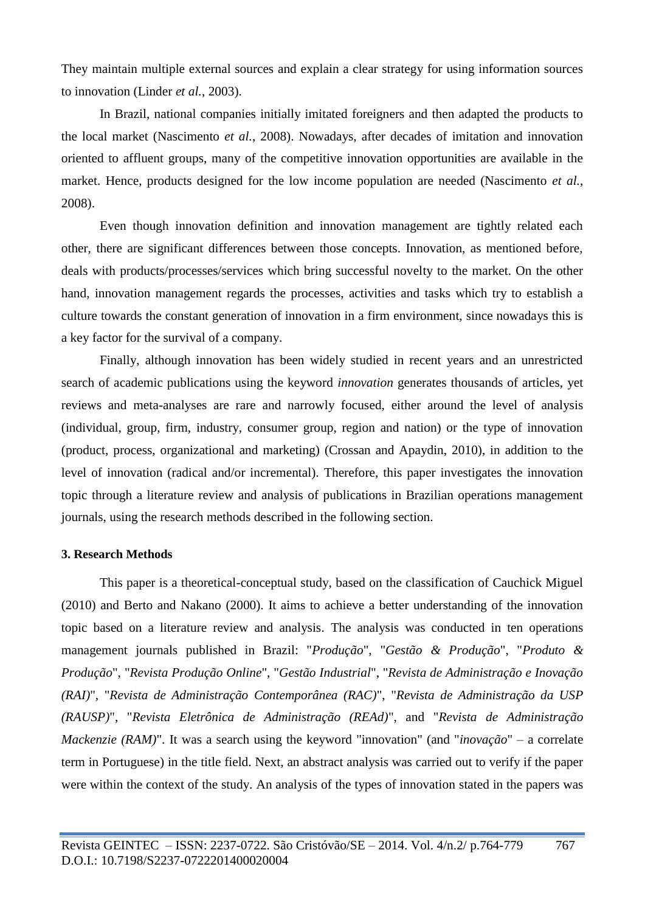They maintain multiple external sources and explain a clear strategy for using information sources to innovation (Linder *et al.*, 2003).

In Brazil, national companies initially imitated foreigners and then adapted the products to the local market (Nascimento *et al.*, 2008). Nowadays, after decades of imitation and innovation oriented to affluent groups, many of the competitive innovation opportunities are available in the market. Hence, products designed for the low income population are needed (Nascimento *et al.*, 2008).

Even though innovation definition and innovation management are tightly related each other, there are significant differences between those concepts. Innovation, as mentioned before, deals with products/processes/services which bring successful novelty to the market. On the other hand, innovation management regards the processes, activities and tasks which try to establish a culture towards the constant generation of innovation in a firm environment, since nowadays this is a key factor for the survival of a company.

Finally, although innovation has been widely studied in recent years and an unrestricted search of academic publications using the keyword *innovation* generates thousands of articles, yet reviews and meta-analyses are rare and narrowly focused, either around the level of analysis (individual, group, firm, industry, consumer group, region and nation) or the type of innovation (product, process, organizational and marketing) (Crossan and Apaydin, 2010), in addition to the level of innovation (radical and/or incremental). Therefore, this paper investigates the innovation topic through a literature review and analysis of publications in Brazilian operations management journals, using the research methods described in the following section.

### **3. Research Methods**

This paper is a theoretical-conceptual study, based on the classification of Cauchick Miguel (2010) and Berto and Nakano (2000). It aims to achieve a better understanding of the innovation topic based on a literature review and analysis. The analysis was conducted in ten operations management journals published in Brazil: "*Produção*", "*Gestão & Produção*", "*Produto & Produção*", "*Revista Produção Online*", "*Gestão Industrial*", "*Revista de Administração e Inovação (RAI)*", "*Revista de Administração Contemporânea (RAC)*", "*Revista de Administração da USP (RAUSP)*", "*Revista Eletrônica de Administração (REAd)*", and "*Revista de Administração Mackenzie (RAM)*". It was a search using the keyword "innovation" (and "*inovação*" – a correlate term in Portuguese) in the title field. Next, an abstract analysis was carried out to verify if the paper were within the context of the study. An analysis of the types of innovation stated in the papers was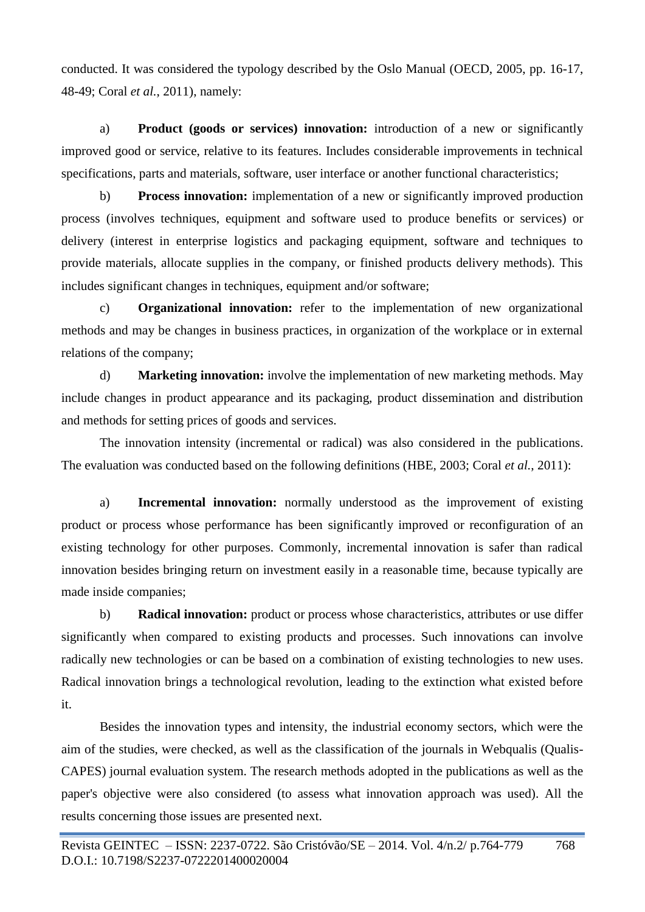conducted. It was considered the typology described by the Oslo Manual (OECD, 2005, pp. 16-17, 48-49; Coral *et al.*, 2011), namely:

a) **Product (goods or services) innovation:** introduction of a new or significantly improved good or service, relative to its features. Includes considerable improvements in technical specifications, parts and materials, software, user interface or another functional characteristics;

b) **Process innovation:** implementation of a new or significantly improved production process (involves techniques, equipment and software used to produce benefits or services) or delivery (interest in enterprise logistics and packaging equipment, software and techniques to provide materials, allocate supplies in the company, or finished products delivery methods). This includes significant changes in techniques, equipment and/or software;

c) **Organizational innovation:** refer to the implementation of new organizational methods and may be changes in business practices, in organization of the workplace or in external relations of the company;

d) **Marketing innovation:** involve the implementation of new marketing methods. May include changes in product appearance and its packaging, product dissemination and distribution and methods for setting prices of goods and services.

The innovation intensity (incremental or radical) was also considered in the publications. The evaluation was conducted based on the following definitions (HBE, 2003; Coral *et al.*, 2011):

a) **Incremental innovation:** normally understood as the improvement of existing product or process whose performance has been significantly improved or reconfiguration of an existing technology for other purposes. Commonly, incremental innovation is safer than radical innovation besides bringing return on investment easily in a reasonable time, because typically are made inside companies;

b) **Radical innovation:** product or process whose characteristics, attributes or use differ significantly when compared to existing products and processes. Such innovations can involve radically new technologies or can be based on a combination of existing technologies to new uses. Radical innovation brings a technological revolution, leading to the extinction what existed before it.

Besides the innovation types and intensity, the industrial economy sectors, which were the aim of the studies, were checked, as well as the classification of the journals in Webqualis (Qualis-CAPES) journal evaluation system. The research methods adopted in the publications as well as the paper's objective were also considered (to assess what innovation approach was used). All the results concerning those issues are presented next.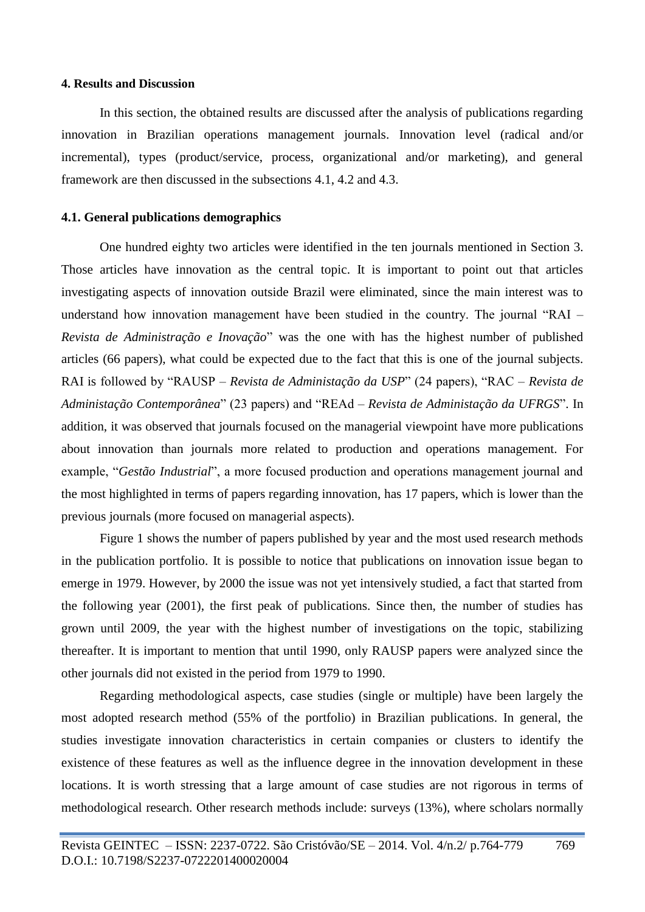### **4. Results and Discussion**

In this section, the obtained results are discussed after the analysis of publications regarding innovation in Brazilian operations management journals. Innovation level (radical and/or incremental), types (product/service, process, organizational and/or marketing), and general framework are then discussed in the subsections 4.1, 4.2 and 4.3.

#### **4.1. General publications demographics**

One hundred eighty two articles were identified in the ten journals mentioned in Section 3. Those articles have innovation as the central topic. It is important to point out that articles investigating aspects of innovation outside Brazil were eliminated, since the main interest was to understand how innovation management have been studied in the country. The journal "RAI – *Revista de Administração e Inovação*" was the one with has the highest number of published articles (66 papers), what could be expected due to the fact that this is one of the journal subjects. RAI is followed by "RAUSP – *Revista de Administação da USP*" (24 papers), "RAC – *Revista de Administação Contemporânea*" (23 papers) and "REAd – *Revista de Administação da UFRGS*". In addition, it was observed that journals focused on the managerial viewpoint have more publications about innovation than journals more related to production and operations management. For example, "*Gestão Industrial*", a more focused production and operations management journal and the most highlighted in terms of papers regarding innovation, has 17 papers, which is lower than the previous journals (more focused on managerial aspects).

Figure 1 shows the number of papers published by year and the most used research methods in the publication portfolio. It is possible to notice that publications on innovation issue began to emerge in 1979. However, by 2000 the issue was not yet intensively studied, a fact that started from the following year (2001), the first peak of publications. Since then, the number of studies has grown until 2009, the year with the highest number of investigations on the topic, stabilizing thereafter. It is important to mention that until 1990, only RAUSP papers were analyzed since the other journals did not existed in the period from 1979 to 1990.

Regarding methodological aspects, case studies (single or multiple) have been largely the most adopted research method (55% of the portfolio) in Brazilian publications. In general, the studies investigate innovation characteristics in certain companies or clusters to identify the existence of these features as well as the influence degree in the innovation development in these locations. It is worth stressing that a large amount of case studies are not rigorous in terms of methodological research. Other research methods include: surveys (13%), where scholars normally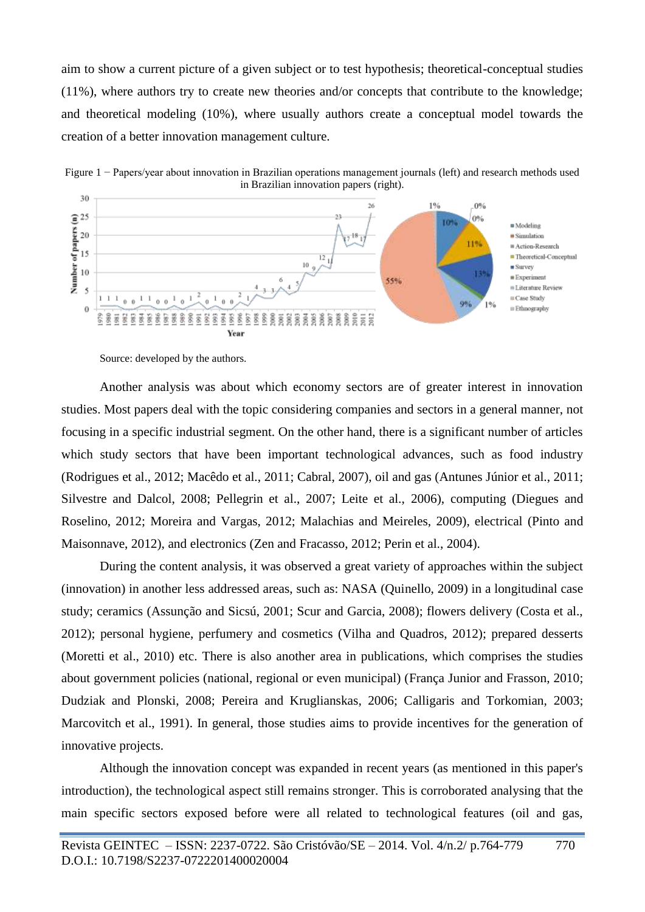aim to show a current picture of a given subject or to test hypothesis; theoretical-conceptual studies (11%), where authors try to create new theories and/or concepts that contribute to the knowledge; and theoretical modeling (10%), where usually authors create a conceptual model towards the creation of a better innovation management culture.



Source: developed by the authors.

Another analysis was about which economy sectors are of greater interest in innovation studies. Most papers deal with the topic considering companies and sectors in a general manner, not focusing in a specific industrial segment. On the other hand, there is a significant number of articles which study sectors that have been important technological advances, such as food industry (Rodrigues et al., 2012; Macêdo et al., 2011; Cabral, 2007), oil and gas (Antunes Júnior et al., 2011; Silvestre and Dalcol, 2008; Pellegrin et al., 2007; Leite et al., 2006), computing (Diegues and Roselino, 2012; Moreira and Vargas, 2012; Malachias and Meireles, 2009), electrical (Pinto and Maisonnave, 2012), and electronics (Zen and Fracasso, 2012; Perin et al., 2004).

During the content analysis, it was observed a great variety of approaches within the subject (innovation) in another less addressed areas, such as: NASA (Quinello, 2009) in a longitudinal case study; ceramics (Assunção and Sicsú, 2001; Scur and Garcia, 2008); flowers delivery (Costa et al., 2012); personal hygiene, perfumery and cosmetics (Vilha and Quadros, 2012); prepared desserts (Moretti et al., 2010) etc. There is also another area in publications, which comprises the studies about government policies (national, regional or even municipal) (França Junior and Frasson, 2010; Dudziak and Plonski, 2008; Pereira and Kruglianskas, 2006; Calligaris and Torkomian, 2003; Marcovitch et al., 1991). In general, those studies aims to provide incentives for the generation of innovative projects.

Although the innovation concept was expanded in recent years (as mentioned in this paper's introduction), the technological aspect still remains stronger. This is corroborated analysing that the main specific sectors exposed before were all related to technological features (oil and gas,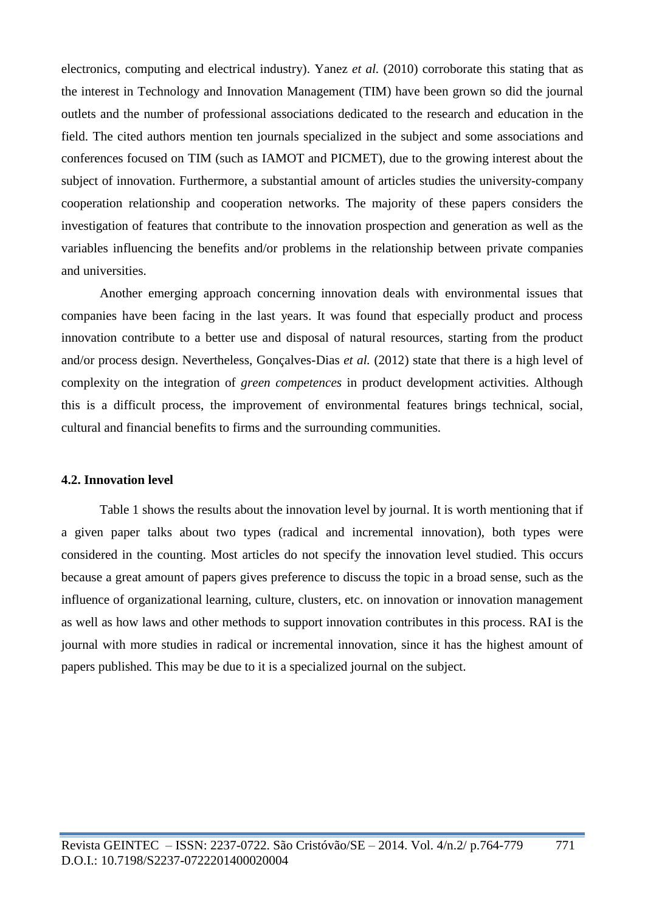electronics, computing and electrical industry). Yanez *et al.* (2010) corroborate this stating that as the interest in Technology and Innovation Management (TIM) have been grown so did the journal outlets and the number of professional associations dedicated to the research and education in the field. The cited authors mention ten journals specialized in the subject and some associations and conferences focused on TIM (such as IAMOT and PICMET), due to the growing interest about the subject of innovation. Furthermore, a substantial amount of articles studies the university-company cooperation relationship and cooperation networks. The majority of these papers considers the investigation of features that contribute to the innovation prospection and generation as well as the variables influencing the benefits and/or problems in the relationship between private companies and universities.

Another emerging approach concerning innovation deals with environmental issues that companies have been facing in the last years. It was found that especially product and process innovation contribute to a better use and disposal of natural resources, starting from the product and/or process design. Nevertheless, Gonçalves-Dias *et al.* (2012) state that there is a high level of complexity on the integration of *green competences* in product development activities. Although this is a difficult process, the improvement of environmental features brings technical, social, cultural and financial benefits to firms and the surrounding communities.

### **4.2. Innovation level**

Table 1 shows the results about the innovation level by journal. It is worth mentioning that if a given paper talks about two types (radical and incremental innovation), both types were considered in the counting. Most articles do not specify the innovation level studied. This occurs because a great amount of papers gives preference to discuss the topic in a broad sense, such as the influence of organizational learning, culture, clusters, etc. on innovation or innovation management as well as how laws and other methods to support innovation contributes in this process. RAI is the journal with more studies in radical or incremental innovation, since it has the highest amount of papers published. This may be due to it is a specialized journal on the subject.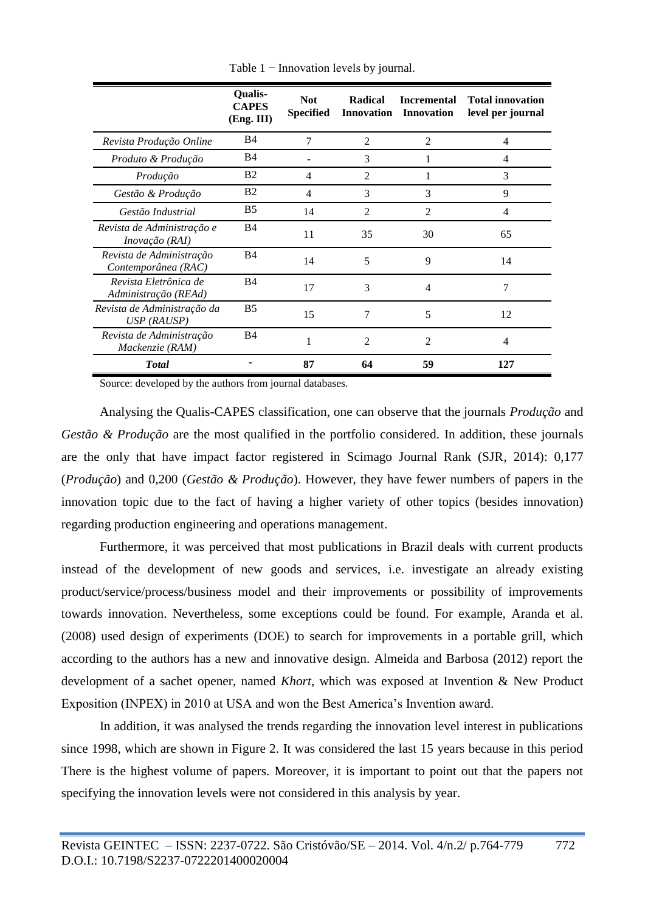|                                                 | <b>Qualis-</b><br><b>CAPES</b><br>(Eng. III) | <b>Not</b><br><b>Specified</b> | Radical<br><b>Innovation</b> | <b>Incremental</b><br><b>Innovation</b> | <b>Total innovation</b><br>level per journal |
|-------------------------------------------------|----------------------------------------------|--------------------------------|------------------------------|-----------------------------------------|----------------------------------------------|
| Revista Produção Online                         | B <sub>4</sub>                               | 7                              | $\overline{2}$               | $\overline{2}$                          | 4                                            |
| Produto & Produção                              | <b>B4</b>                                    |                                | 3                            | 1                                       | 4                                            |
| Produção                                        | <b>B2</b>                                    | 4                              | $\mathfrak{D}$               | 1                                       | 3                                            |
| Gestão & Produção                               | B <sub>2</sub>                               | 4                              | 3                            | 3                                       | 9                                            |
| Gestão Industrial                               | <b>B5</b>                                    | 14                             | $\overline{2}$               | 2                                       | 4                                            |
| Revista de Administração e<br>Inovação (RAI)    | B <sub>4</sub>                               | 11                             | 35                           | 30                                      | 65                                           |
| Revista de Administração<br>Contemporânea (RAC) | <b>B4</b>                                    | 14                             | 5                            | 9                                       | 14                                           |
| Revista Eletrônica de<br>Administração (REAd)   | B <sub>4</sub>                               | 17                             | 3                            | $\overline{4}$                          | 7                                            |
| Revista de Administração da<br>$USP$ (RAUSP)    | B <sub>5</sub>                               | 15                             | 7                            | 5                                       | 12                                           |
| Revista de Administração<br>Mackenzie (RAM)     | B <sub>4</sub>                               |                                | $\mathfrak{D}$               | $\mathfrak{D}$                          | 4                                            |
| <b>Total</b>                                    |                                              | 87                             | 64                           | 59                                      | 127                                          |

Table 1 − Innovation levels by journal.

Source: developed by the authors from journal databases.

Analysing the Qualis-CAPES classification, one can observe that the journals *Produção* and *Gestão & Produção* are the most qualified in the portfolio considered. In addition, these journals are the only that have impact factor registered in Scimago Journal Rank (SJR, 2014): 0,177 (*Produção*) and 0,200 (*Gestão & Produção*). However, they have fewer numbers of papers in the innovation topic due to the fact of having a higher variety of other topics (besides innovation) regarding production engineering and operations management.

Furthermore, it was perceived that most publications in Brazil deals with current products instead of the development of new goods and services, i.e. investigate an already existing product/service/process/business model and their improvements or possibility of improvements towards innovation. Nevertheless, some exceptions could be found. For example, Aranda et al. (2008) used design of experiments (DOE) to search for improvements in a portable grill, which according to the authors has a new and innovative design. Almeida and Barbosa (2012) report the development of a sachet opener, named *Khort*, which was exposed at Invention & New Product Exposition (INPEX) in 2010 at USA and won the Best America's Invention award.

In addition, it was analysed the trends regarding the innovation level interest in publications since 1998, which are shown in Figure 2. It was considered the last 15 years because in this period There is the highest volume of papers. Moreover, it is important to point out that the papers not specifying the innovation levels were not considered in this analysis by year.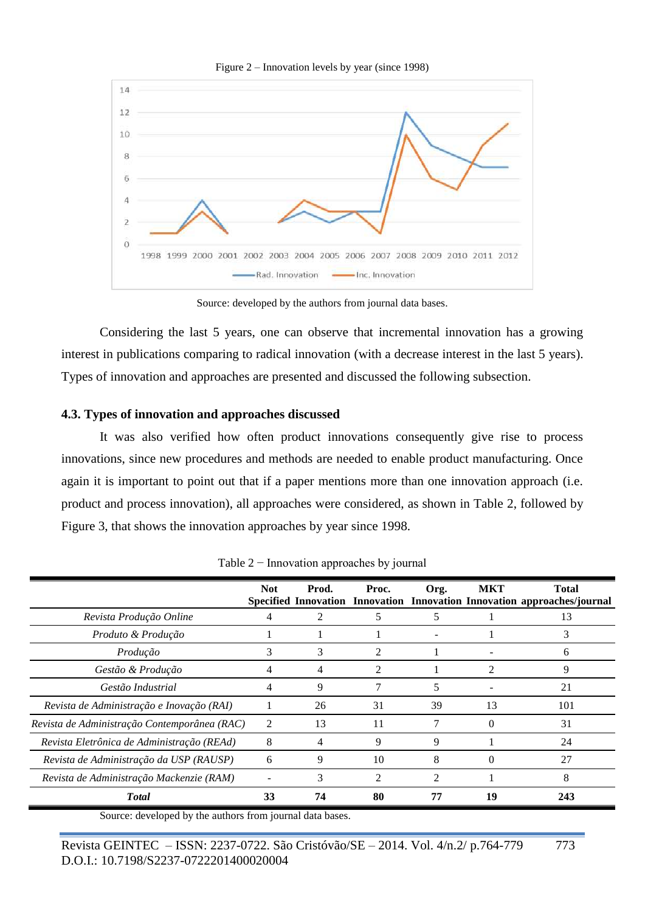

Figure 2 – Innovation levels by year (since 1998)

Source: developed by the authors from journal data bases.

Considering the last 5 years, one can observe that incremental innovation has a growing interest in publications comparing to radical innovation (with a decrease interest in the last 5 years). Types of innovation and approaches are presented and discussed the following subsection.

### **4.3. Types of innovation and approaches discussed**

It was also verified how often product innovations consequently give rise to process innovations, since new procedures and methods are needed to enable product manufacturing. Once again it is important to point out that if a paper mentions more than one innovation approach (i.e. product and process innovation), all approaches were considered, as shown in Table 2, followed by Figure 3, that shows the innovation approaches by year since 1998.

|                                              | <b>Not</b>     | Prod. | Proc.          | Org.           | <b>MKT</b> | <b>Total</b><br>Specified Innovation Innovation Innovation Innovation approaches/journal |
|----------------------------------------------|----------------|-------|----------------|----------------|------------|------------------------------------------------------------------------------------------|
| Revista Produção Online                      | 4              |       | 5              | 5              |            | 13                                                                                       |
| Produto & Produção                           |                |       |                |                |            | 3                                                                                        |
| Produção                                     | 3              | 3     | $\overline{2}$ |                |            | 6                                                                                        |
| Gestão & Produção                            | 4              | 4     | 2              |                | 2          | 9                                                                                        |
| Gestão Industrial                            | 4              | 9     | 7              | 5              |            | 21                                                                                       |
| Revista de Administração e Inovação (RAI)    |                | 26    | 31             | 39             | 13         | 101                                                                                      |
| Revista de Administração Contemporânea (RAC) | $\overline{2}$ | 13    | 11             |                | 0          | 31                                                                                       |
| Revista Eletrônica de Administração (REAd)   | 8              | 4     | 9              | 9              |            | 24                                                                                       |
| Revista de Administração da USP (RAUSP)      | 6              | 9     | 10             | 8              |            | 27                                                                                       |
| Revista de Administração Mackenzie (RAM)     |                | 3     | $\overline{2}$ | $\mathfrak{D}$ |            | 8                                                                                        |
| <b>Total</b>                                 | 33             | 74    | 80             | 77             | 19         | 243                                                                                      |

Table 2 − Innovation approaches by journal

Source: developed by the authors from journal data bases.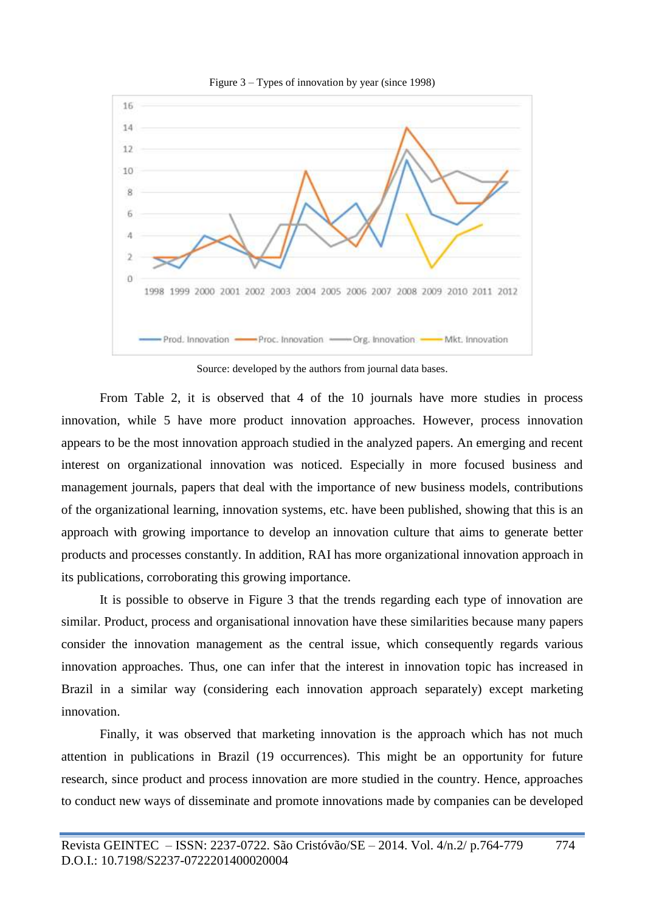

Figure 3 – Types of innovation by year (since 1998)

Source: developed by the authors from journal data bases.

From Table 2, it is observed that 4 of the 10 journals have more studies in process innovation, while 5 have more product innovation approaches. However, process innovation appears to be the most innovation approach studied in the analyzed papers. An emerging and recent interest on organizational innovation was noticed. Especially in more focused business and management journals, papers that deal with the importance of new business models, contributions of the organizational learning, innovation systems, etc. have been published, showing that this is an approach with growing importance to develop an innovation culture that aims to generate better products and processes constantly. In addition, RAI has more organizational innovation approach in its publications, corroborating this growing importance.

It is possible to observe in Figure 3 that the trends regarding each type of innovation are similar. Product, process and organisational innovation have these similarities because many papers consider the innovation management as the central issue, which consequently regards various innovation approaches. Thus, one can infer that the interest in innovation topic has increased in Brazil in a similar way (considering each innovation approach separately) except marketing innovation.

Finally, it was observed that marketing innovation is the approach which has not much attention in publications in Brazil (19 occurrences). This might be an opportunity for future research, since product and process innovation are more studied in the country. Hence, approaches to conduct new ways of disseminate and promote innovations made by companies can be developed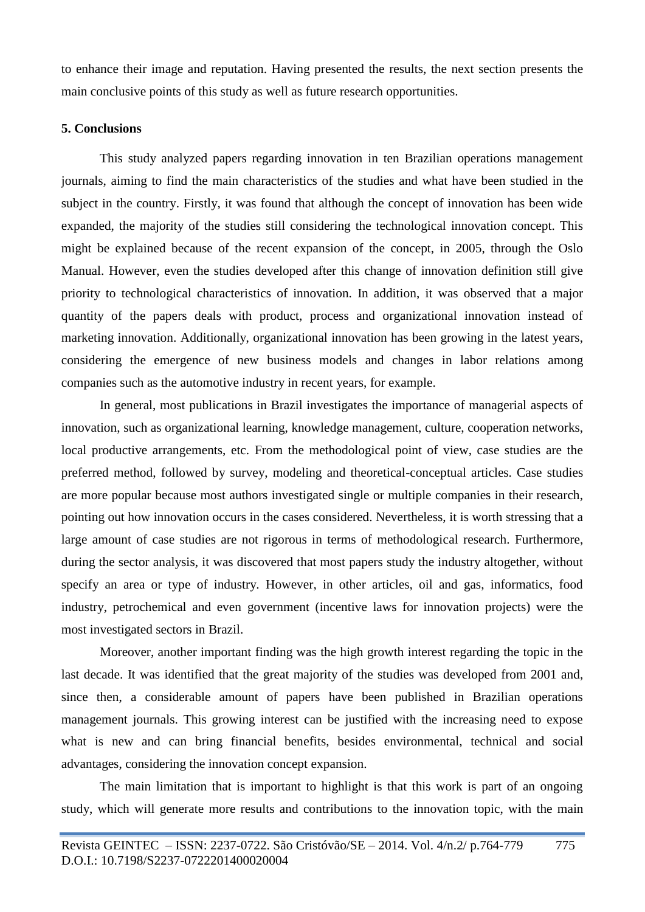to enhance their image and reputation. Having presented the results, the next section presents the main conclusive points of this study as well as future research opportunities.

### **5. Conclusions**

This study analyzed papers regarding innovation in ten Brazilian operations management journals, aiming to find the main characteristics of the studies and what have been studied in the subject in the country. Firstly, it was found that although the concept of innovation has been wide expanded, the majority of the studies still considering the technological innovation concept. This might be explained because of the recent expansion of the concept, in 2005, through the Oslo Manual. However, even the studies developed after this change of innovation definition still give priority to technological characteristics of innovation. In addition, it was observed that a major quantity of the papers deals with product, process and organizational innovation instead of marketing innovation. Additionally, organizational innovation has been growing in the latest years, considering the emergence of new business models and changes in labor relations among companies such as the automotive industry in recent years, for example.

In general, most publications in Brazil investigates the importance of managerial aspects of innovation, such as organizational learning, knowledge management, culture, cooperation networks, local productive arrangements, etc. From the methodological point of view, case studies are the preferred method, followed by survey, modeling and theoretical-conceptual articles. Case studies are more popular because most authors investigated single or multiple companies in their research, pointing out how innovation occurs in the cases considered. Nevertheless, it is worth stressing that a large amount of case studies are not rigorous in terms of methodological research. Furthermore, during the sector analysis, it was discovered that most papers study the industry altogether, without specify an area or type of industry. However, in other articles, oil and gas, informatics, food industry, petrochemical and even government (incentive laws for innovation projects) were the most investigated sectors in Brazil.

Moreover, another important finding was the high growth interest regarding the topic in the last decade. It was identified that the great majority of the studies was developed from 2001 and, since then, a considerable amount of papers have been published in Brazilian operations management journals. This growing interest can be justified with the increasing need to expose what is new and can bring financial benefits, besides environmental, technical and social advantages, considering the innovation concept expansion.

The main limitation that is important to highlight is that this work is part of an ongoing study, which will generate more results and contributions to the innovation topic, with the main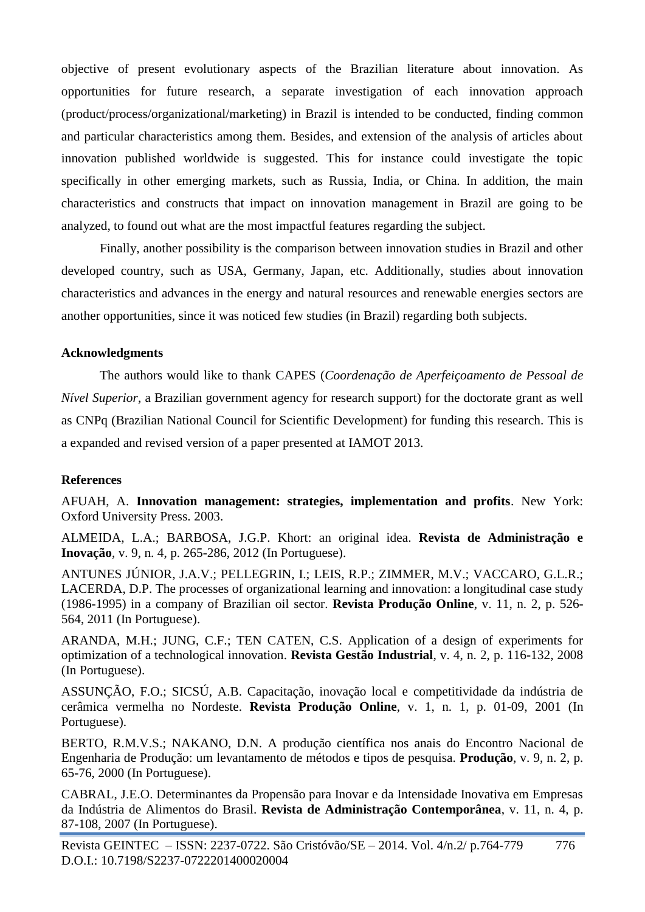objective of present evolutionary aspects of the Brazilian literature about innovation. As opportunities for future research, a separate investigation of each innovation approach (product/process/organizational/marketing) in Brazil is intended to be conducted, finding common and particular characteristics among them. Besides, and extension of the analysis of articles about innovation published worldwide is suggested. This for instance could investigate the topic specifically in other emerging markets, such as Russia, India, or China. In addition, the main characteristics and constructs that impact on innovation management in Brazil are going to be analyzed, to found out what are the most impactful features regarding the subject.

Finally, another possibility is the comparison between innovation studies in Brazil and other developed country, such as USA, Germany, Japan, etc. Additionally, studies about innovation characteristics and advances in the energy and natural resources and renewable energies sectors are another opportunities, since it was noticed few studies (in Brazil) regarding both subjects.

# **Acknowledgments**

The authors would like to thank CAPES (*Coordenação de Aperfeiçoamento de Pessoal de Nível Superior*, a Brazilian government agency for research support) for the doctorate grant as well as CNPq (Brazilian National Council for Scientific Development) for funding this research. This is a expanded and revised version of a paper presented at IAMOT 2013.

# **References**

AFUAH, A. **Innovation management: strategies, implementation and profits**. New York: Oxford University Press. 2003.

ALMEIDA, L.A.; BARBOSA, J.G.P. Khort: an original idea. **Revista de Administração e Inovação**, v. 9, n. 4, p. 265-286, 2012 (In Portuguese).

ANTUNES JÚNIOR, J.A.V.; PELLEGRIN, I.; LEIS, R.P.; ZIMMER, M.V.; VACCARO, G.L.R.; LACERDA, D.P. The processes of organizational learning and innovation: a longitudinal case study (1986-1995) in a company of Brazilian oil sector. **Revista Produção Online**, v. 11, n. 2, p. 526- 564, 2011 (In Portuguese).

ARANDA, M.H.; JUNG, C.F.; TEN CATEN, C.S. Application of a design of experiments for optimization of a technological innovation. **Revista Gestão Industrial**, v. 4, n. 2, p. 116-132, 2008 (In Portuguese).

ASSUNÇÃO, F.O.; SICSÚ, A.B. Capacitação, inovação local e competitividade da indústria de cerâmica vermelha no Nordeste. **Revista Produção Online**, v. 1, n. 1, p. 01-09, 2001 (In Portuguese).

BERTO, R.M.V.S.; NAKANO, D.N. A produção científica nos anais do Encontro Nacional de Engenharia de Produção: um levantamento de métodos e tipos de pesquisa. **Produção**, v. 9, n. 2, p. 65-76, 2000 (In Portuguese).

CABRAL, J.E.O. Determinantes da Propensão para Inovar e da Intensidade Inovativa em Empresas da Indústria de Alimentos do Brasil. **Revista de Administração Contemporânea**, v. 11, n. 4, p. 87-108, 2007 (In Portuguese).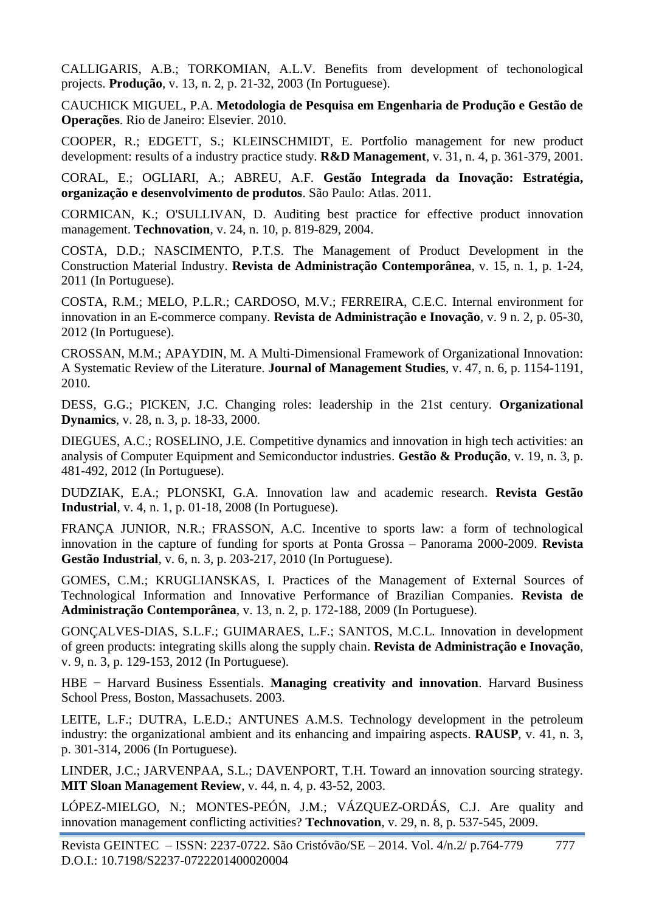CALLIGARIS, A.B.; TORKOMIAN, A.L.V. Benefits from development of techonological projects. **Produção**, v. 13, n. 2, p. 21-32, 2003 (In Portuguese).

CAUCHICK MIGUEL, P.A. **Metodologia de Pesquisa em Engenharia de Produção e Gestão de Operações**. Rio de Janeiro: Elsevier. 2010.

COOPER, R.; EDGETT, S.; KLEINSCHMIDT, E. Portfolio management for new product development: results of a industry practice study. **R&D Management**, v. 31, n. 4, p. 361-379, 2001.

CORAL, E.; OGLIARI, A.; ABREU, A.F. **Gestão Integrada da Inovação: Estratégia, organização e desenvolvimento de produtos**. São Paulo: Atlas. 2011.

CORMICAN, K.; O'SULLIVAN, D. Auditing best practice for effective product innovation management. **Technovation**, v. 24, n. 10, p. 819-829, 2004.

COSTA, D.D.; NASCIMENTO, P.T.S. The Management of Product Development in the Construction Material Industry. **Revista de Administração Contemporânea**, v. 15, n. 1, p. 1-24, 2011 (In Portuguese).

COSTA, R.M.; MELO, P.L.R.; CARDOSO, M.V.; FERREIRA, C.E.C. Internal environment for innovation in an E-commerce company. **Revista de Administração e Inovação**, v. 9 n. 2, p. 05-30, 2012 (In Portuguese).

CROSSAN, M.M.; APAYDIN, M. A Multi-Dimensional Framework of Organizational Innovation: A Systematic Review of the Literature. **Journal of Management Studies**, v. 47, n. 6, p. 1154-1191, 2010.

DESS, G.G.; PICKEN, J.C. Changing roles: leadership in the 21st century. **Organizational Dynamics**, v. 28, n. 3, p. 18-33, 2000.

DIEGUES, A.C.; ROSELINO, J.E. Competitive dynamics and innovation in high tech activities: an analysis of Computer Equipment and Semiconductor industries. **Gestão & Produção**, v. 19, n. 3, p. 481-492, 2012 (In Portuguese).

DUDZIAK, E.A.; PLONSKI, G.A. Innovation law and academic research. **Revista Gestão Industrial**, v. 4, n. 1, p. 01-18, 2008 (In Portuguese).

FRANÇA JUNIOR, N.R.; FRASSON, A.C. Incentive to sports law: a form of technological innovation in the capture of funding for sports at Ponta Grossa – Panorama 2000-2009. **Revista Gestão Industrial**, v. 6, n. 3, p. 203-217, 2010 (In Portuguese).

GOMES, C.M.; KRUGLIANSKAS, I. Practices of the Management of External Sources of Technological Information and Innovative Performance of Brazilian Companies. **Revista de Administração Contemporânea**, v. 13, n. 2, p. 172-188, 2009 (In Portuguese).

GONÇALVES-DIAS, S.L.F.; GUIMARAES, L.F.; SANTOS, M.C.L. Innovation in development of green products: integrating skills along the supply chain. **Revista de Administração e Inovação**, v. 9, n. 3, p. 129-153, 2012 (In Portuguese).

HBE − Harvard Business Essentials. **Managing creativity and innovation**. Harvard Business School Press, Boston, Massachusets. 2003.

LEITE, L.F.; DUTRA, L.E.D.; ANTUNES A.M.S. Technology development in the petroleum industry: the organizational ambient and its enhancing and impairing aspects. **RAUSP**, v. 41, n. 3, p. 301-314, 2006 (In Portuguese).

LINDER, J.C.; JARVENPAA, S.L.; DAVENPORT, T.H. Toward an innovation sourcing strategy. **MIT Sloan Management Review**, v. 44, n. 4, p. 43-52, 2003.

LÓPEZ-MIELGO, N.; MONTES-PEÓN, J.M.; VÁZQUEZ-ORDÁS, C.J. Are quality and innovation management conflicting activities? **Technovation**, v. 29, n. 8, p. 537-545, 2009.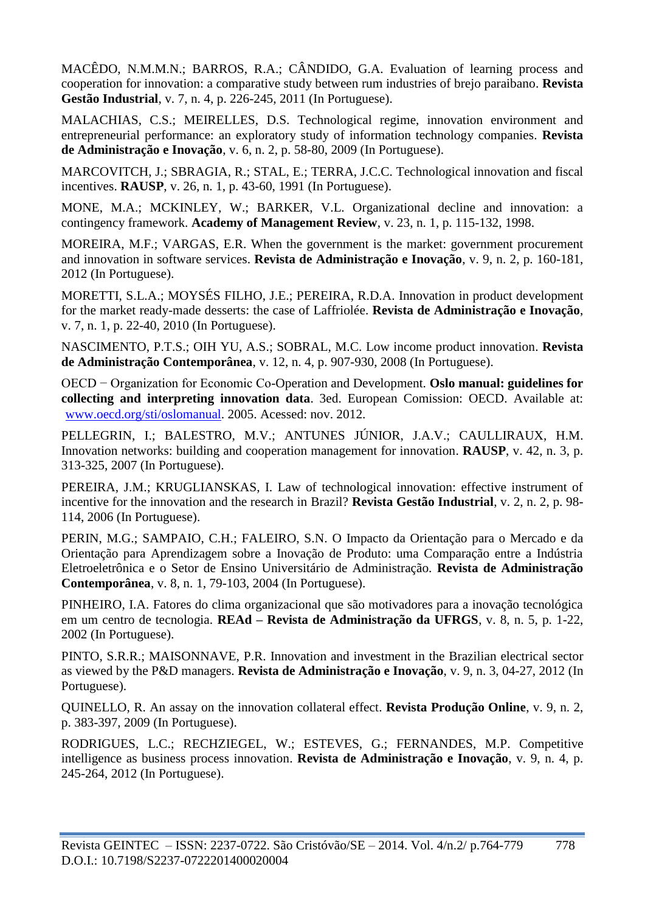MACÊDO, N.M.M.N.; BARROS, R.A.; CÂNDIDO, G.A. Evaluation of learning process and cooperation for innovation: a comparative study between rum industries of brejo paraibano. **Revista Gestão Industrial**, v. 7, n. 4, p. 226-245, 2011 (In Portuguese).

MALACHIAS, C.S.; MEIRELLES, D.S. Technological regime, innovation environment and entrepreneurial performance: an exploratory study of information technology companies. **Revista de Administração e Inovação**, v. 6, n. 2, p. 58-80, 2009 (In Portuguese).

MARCOVITCH, J.; SBRAGIA, R.; STAL, E.; TERRA, J.C.C. Technological innovation and fiscal incentives. **RAUSP**, v. 26, n. 1, p. 43-60, 1991 (In Portuguese).

MONE, M.A.; MCKINLEY, W.; BARKER, V.L. Organizational decline and innovation: a contingency framework. **Academy of Management Review**, v. 23, n. 1, p. 115-132, 1998.

MOREIRA, M.F.; VARGAS, E.R. When the government is the market: government procurement and innovation in software services. **Revista de Administração e Inovação**, v. 9, n. 2, p. 160-181, 2012 (In Portuguese).

MORETTI, S.L.A.; MOYSÉS FILHO, J.E.; PEREIRA, R.D.A. Innovation in product development for the market ready-made desserts: the case of Laffriolée. **Revista de Administração e Inovação**, v. 7, n. 1, p. 22-40, 2010 (In Portuguese).

NASCIMENTO, P.T.S.; OIH YU, A.S.; SOBRAL, M.C. Low income product innovation. **Revista de Administração Contemporânea**, v. 12, n. 4, p. 907-930, 2008 (In Portuguese).

OECD − Organization for Economic Co-Operation and Development. **Oslo manual: guidelines for collecting and interpreting innovation data**. 3ed. European Comission: OECD. Available at: [www.oecd.org/sti/oslomanual.](http://www.oecd.org/sti/oslomanual) 2005. Acessed: nov. 2012.

PELLEGRIN, I.; BALESTRO, M.V.; ANTUNES JÚNIOR, J.A.V.; CAULLIRAUX, H.M. Innovation networks: building and cooperation management for innovation. **RAUSP**, v. 42, n. 3, p. 313-325, 2007 (In Portuguese).

PEREIRA, J.M.; KRUGLIANSKAS, I. Law of technological innovation: effective instrument of incentive for the innovation and the research in Brazil? **Revista Gestão Industrial**, v. 2, n. 2, p. 98- 114, 2006 (In Portuguese).

PERIN, M.G.; SAMPAIO, C.H.; FALEIRO, S.N. O Impacto da Orientação para o Mercado e da Orientação para Aprendizagem sobre a Inovação de Produto: uma Comparação entre a Indústria Eletroeletrônica e o Setor de Ensino Universitário de Administração. **Revista de Administração Contemporânea**, v. 8, n. 1, 79-103, 2004 (In Portuguese).

PINHEIRO, I.A. Fatores do clima organizacional que são motivadores para a inovação tecnológica em um centro de tecnologia. **REAd – Revista de Administração da UFRGS**, v. 8, n. 5, p. 1-22, 2002 (In Portuguese).

PINTO, S.R.R.; MAISONNAVE, P.R. Innovation and investment in the Brazilian electrical sector as viewed by the P&D managers. **Revista de Administração e Inovação**, v. 9, n. 3, 04-27, 2012 (In Portuguese).

QUINELLO, R. An assay on the innovation collateral effect. **Revista Produção Online**, v. 9, n. 2, p. 383-397, 2009 (In Portuguese).

RODRIGUES, L.C.; RECHZIEGEL, W.; ESTEVES, G.; FERNANDES, M.P. Competitive intelligence as business process innovation. **Revista de Administração e Inovação**, v. 9, n. 4, p. 245-264, 2012 (In Portuguese).